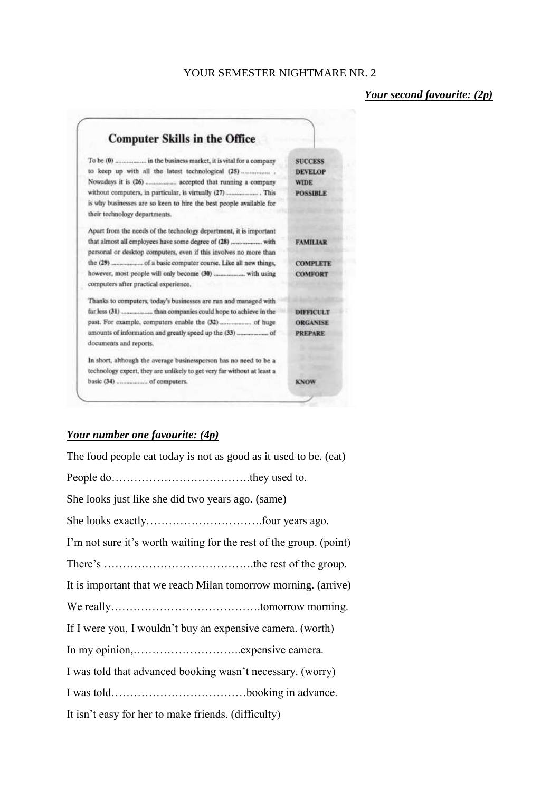# YOUR SEMESTER NIGHTMARE NR. 2

# *Your second favourite: (2p)*



### *Your number one favourite: (4p)*

| The food people eat today is not as good as it used to be. (eat)   |
|--------------------------------------------------------------------|
|                                                                    |
| She looks just like she did two years ago. (same)                  |
|                                                                    |
| I'm not sure it's worth waiting for the rest of the group. (point) |
|                                                                    |
| It is important that we reach Milan tomorrow morning. (arrive)     |
|                                                                    |
| If I were you, I wouldn't buy an expensive camera. (worth)         |
|                                                                    |
| I was told that advanced booking wasn't necessary. (worry)         |
|                                                                    |
| It isn't easy for her to make friends. (difficulty)                |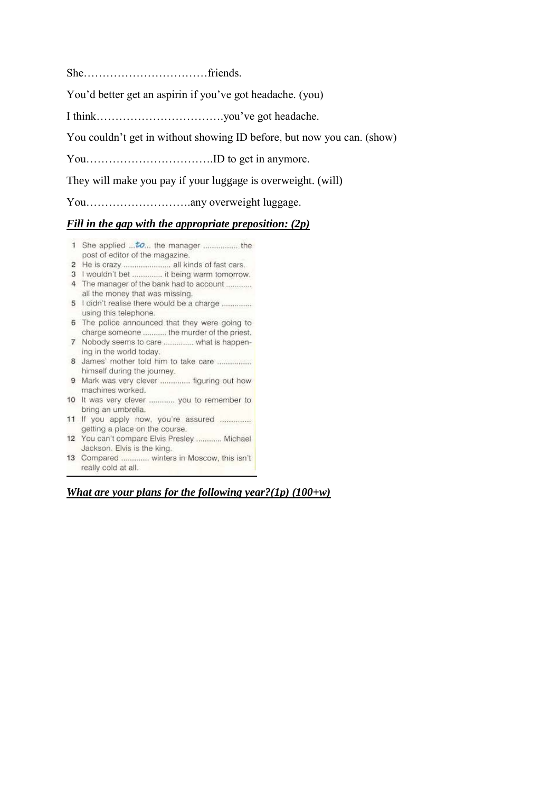She……………………………friends.

You'd better get an aspirin if you've got headache. (you)

I think…………………………….you've got headache.

You couldn't get in without showing ID before, but now you can. (show)

You…………………………….ID to get in anymore.

They will make you pay if your luggage is overweight. (will)

You……………………….any overweight luggage.

# *Fill in the gap with the appropriate preposition: (2p)*

- 1 She applied ... to... the manager .................. the post of editor of the magazine.
- 
- 3 I wouldn't bet ............... it being warm tomorrow.
- 4 The manager of the bank had to account ............ all the money that was missing.
- 5 I didn't realise there would be a charge .............. using this telephone.
- 6 The police announced that they were going to charge someone ........... the murder of the priest.
- 7 Nobody seems to care ............... what is happening in the world today.
- 8 James' mother told him to take care ................. himself during the journey.
- 9 Mark was very clever ............... figuring out how machines worked.
- 10 It was very clever ............ you to remember to bring an umbrella.
- 11 If you apply now, you're assured ............... getting a place on the course.
- 12 You can't compare Elvis Presley ............ Michael Jackson, Elvis is the king.
- 13 Compared ............. winters in Moscow, this isn't really cold at all.

# *What are your plans for the following year?(1p) (100+w)*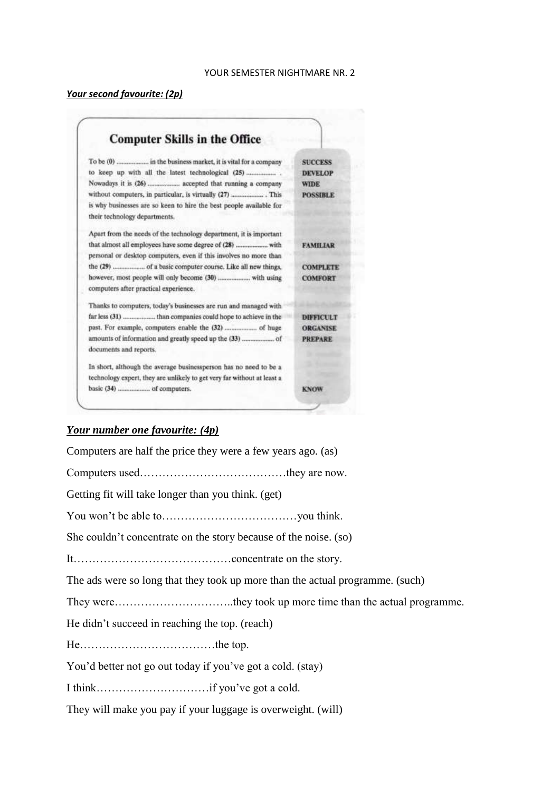# *Your second favourite: (2p)*

| <b>Computer Skills in the Office</b>                                    |                  |
|-------------------------------------------------------------------------|------------------|
|                                                                         | <b>SUCCESS</b>   |
|                                                                         | <b>DEVELOP</b>   |
|                                                                         | <b>WIDE</b>      |
|                                                                         | <b>POSSIBLE</b>  |
| is why businesses are so keen to hire the best people available for     |                  |
| their technology departments.                                           |                  |
| Apart from the needs of the technology department, it is important      |                  |
|                                                                         | <b>FAMILIAR</b>  |
| personal or desktop computers, even if this involves no more than       |                  |
| the (29)  of a basic computer course. Like all new things,              | <b>COMPLETE</b>  |
|                                                                         | <b>COMFORT</b>   |
| computers after practical experience.                                   |                  |
| Thanks to computers, today's businesses are run and managed with        |                  |
|                                                                         | <b>DIFFICULT</b> |
|                                                                         | <b>ORGANISE</b>  |
|                                                                         | <b>PREPARE</b>   |
| documents and reports.                                                  |                  |
| In short, although the average businessperson has no need to be a       |                  |
| technology expert, they are unlikely to get very far without at least a |                  |
|                                                                         | <b>KNOW</b>      |

# *Your number one favourite: (4p)*

| Computers are half the price they were a few years ago. (as)                  |
|-------------------------------------------------------------------------------|
|                                                                               |
| Getting fit will take longer than you think. (get)                            |
|                                                                               |
| She couldn't concentrate on the story because of the noise. (so)              |
|                                                                               |
| The ads were so long that they took up more than the actual programme. (such) |
|                                                                               |
| He didn't succeed in reaching the top. (reach)                                |
|                                                                               |
| You'd better not go out today if you've got a cold. (stay)                    |
|                                                                               |
|                                                                               |

They will make you pay if your luggage is overweight. (will)